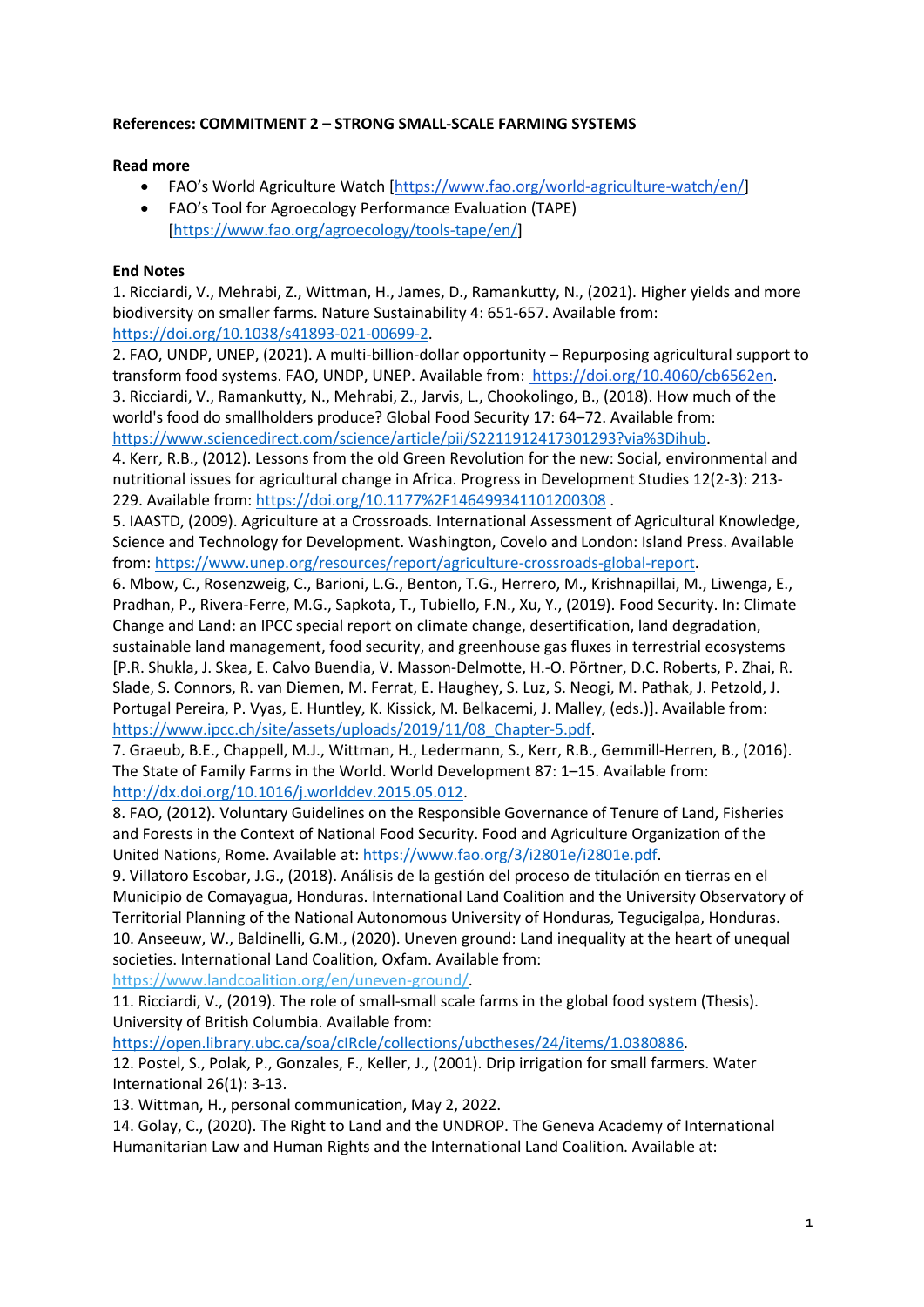## **References: COMMITMENT 2 – STRONG SMALL-SCALE FARMING SYSTEMS**

## **Read more**

- FAO's World Agriculture Watch [https://www.fao.org/world-agriculture-watch/en/]
- FAO's Tool for Agroecology Performance Evaluation (TAPE) [https://www.fao.org/agroecology/tools-tape/en/]

## **End Notes**

1. Ricciardi, V., Mehrabi, Z., Wittman, H., James, D., Ramankutty, N., (2021). Higher yields and more biodiversity on smaller farms. Nature Sustainability 4: 651-657. Available from: https://doi.org/10.1038/s41893-021-00699-2.

2. FAO, UNDP, UNEP, (2021). A multi-billion-dollar opportunity – Repurposing agricultural support to transform food systems. FAO, UNDP, UNEP. Available from: https://doi.org/10.4060/cb6562en. 3. Ricciardi, V., Ramankutty, N., Mehrabi, Z., Jarvis, L., Chookolingo, B., (2018). How much of the world's food do smallholders produce? Global Food Security 17: 64–72. Available from: https://www.sciencedirect.com/science/article/pii/S2211912417301293?via%3Dihub.

4. Kerr, R.B., (2012). Lessons from the old Green Revolution for the new: Social, environmental and nutritional issues for agricultural change in Africa. Progress in Development Studies 12(2-3): 213- 229. Available from: https://doi.org/10.1177%2F146499341101200308 .

5. IAASTD, (2009). Agriculture at a Crossroads. International Assessment of Agricultural Knowledge, Science and Technology for Development. Washington, Covelo and London: Island Press. Available from: https://www.unep.org/resources/report/agriculture-crossroads-global-report.

6. Mbow, C., Rosenzweig, C., Barioni, L.G., Benton, T.G., Herrero, M., Krishnapillai, M., Liwenga, E., Pradhan, P., Rivera-Ferre, M.G., Sapkota, T., Tubiello, F.N., Xu, Y., (2019). Food Security. In: Climate Change and Land: an IPCC special report on climate change, desertification, land degradation, sustainable land management, food security, and greenhouse gas fluxes in terrestrial ecosystems [P.R. Shukla, J. Skea, E. Calvo Buendia, V. Masson-Delmotte, H.-O. Pörtner, D.C. Roberts, P. Zhai, R. Slade, S. Connors, R. van Diemen, M. Ferrat, E. Haughey, S. Luz, S. Neogi, M. Pathak, J. Petzold, J. Portugal Pereira, P. Vyas, E. Huntley, K. Kissick, M. Belkacemi, J. Malley, (eds.)]. Available from: https://www.ipcc.ch/site/assets/uploads/2019/11/08\_Chapter-5.pdf.

7. Graeub, B.E., Chappell, M.J., Wittman, H., Ledermann, S., Kerr, R.B., Gemmill-Herren, B., (2016). The State of Family Farms in the World. World Development 87: 1–15. Available from: http://dx.doi.org/10.1016/j.worlddev.2015.05.012.

8. FAO, (2012). Voluntary Guidelines on the Responsible Governance of Tenure of Land, Fisheries and Forests in the Context of National Food Security. Food and Agriculture Organization of the United Nations, Rome. Available at: https://www.fao.org/3/i2801e/i2801e.pdf.

9. Villatoro Escobar, J.G., (2018). Análisis de la gestión del proceso de titulación en tierras en el Municipio de Comayagua, Honduras. International Land Coalition and the University Observatory of Territorial Planning of the National Autonomous University of Honduras, Tegucigalpa, Honduras. 10. Anseeuw, W., Baldinelli, G.M., (2020). Uneven ground: Land inequality at the heart of unequal societies. International Land Coalition, Oxfam. Available from:

https://www.landcoalition.org/en/uneven-ground/.

11. Ricciardi, V., (2019). The role of small-small scale farms in the global food system (Thesis). University of British Columbia. Available from:

https://open.library.ubc.ca/soa/cIRcle/collections/ubctheses/24/items/1.0380886.

12. Postel, S., Polak, P., Gonzales, F., Keller, J., (2001). Drip irrigation for small farmers. Water International 26(1): 3-13.

13. Wittman, H., personal communication, May 2, 2022.

14. Golay, C., (2020). The Right to Land and the UNDROP. The Geneva Academy of International Humanitarian Law and Human Rights and the International Land Coalition. Available at: